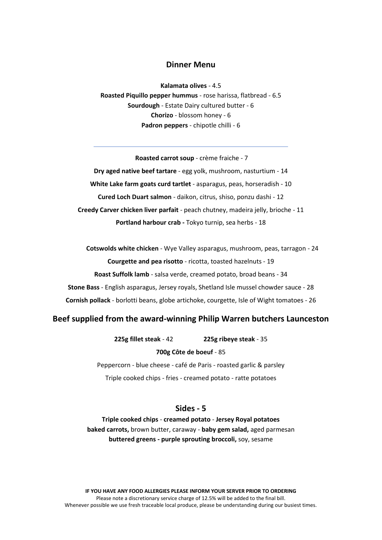# **Dinner Menu**

**Kalamata olives** - 4.5 **Roasted Piquillo pepper hummus** - rose harissa, flatbread - 6.5 **Sourdough** - Estate Dairy cultured butter - 6 **Chorizo** - blossom honey - 6 **Padron peppers** - chipotle chilli - 6

#### **Roasted carrot soup** - crème fraiche - 7

**Dry aged native beef tartare** - egg yolk, mushroom, nasturtium - 14 **White Lake farm goats curd tartlet** - asparagus, peas, horseradish - 10 **Cured Loch Duart salmon** - daikon, citrus, shiso, ponzu dashi - 12 **Creedy Carver chicken liver parfait** - peach chutney, madeira jelly, brioche - 11 **Portland harbour crab -** Tokyo turnip, sea herbs - 18

**Cotswolds white chicken** - Wye Valley asparagus, mushroom, peas, tarragon - 24 **Courgette and pea risotto** - ricotta, toasted hazelnuts - 19 **Roast Suffolk lamb** - salsa verde, creamed potato, broad beans - 34 **Stone Bass** - English asparagus, Jersey royals, Shetland Isle mussel chowder sauce - 28 **Cornish pollack** - borlotti beans, globe artichoke, courgette, Isle of Wight tomatoes - 26

# **Beef supplied from the award-winning Philip Warren butchers Launceston**

**225g fillet steak** - 42 **225g ribeye steak** - 35

#### **700g Côte de boeuf** - 85

Peppercorn - blue cheese - café de Paris - roasted garlic & parsley Triple cooked chips - fries - creamed potato - ratte potatoes

# **Sides - 5**

**Triple cooked chips** - **creamed potato** - **Jersey Royal potatoes baked carrots,** brown butter, caraway - **baby gem salad,** aged parmesan **buttered greens - purple sprouting broccoli,** soy, sesame